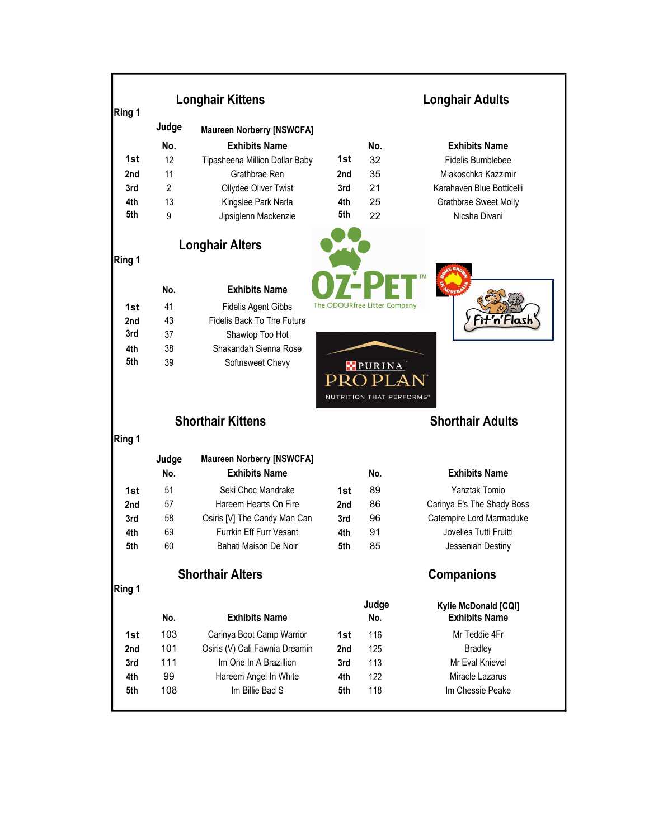| Ring 1 | <b>Longhair Kittens</b> |                                  |                              | <b>Longhair Adults</b>   |                                              |  |
|--------|-------------------------|----------------------------------|------------------------------|--------------------------|----------------------------------------------|--|
|        | Judge                   | <b>Maureen Norberry [NSWCFA]</b> |                              |                          |                                              |  |
|        | No.                     | <b>Exhibits Name</b>             |                              | No.                      | <b>Exhibits Name</b>                         |  |
| 1st    | 12                      | Tipasheena Million Dollar Baby   | 1st                          | 32                       | <b>Fidelis Bumblebee</b>                     |  |
| 2nd    | 11                      | Grathbrae Ren                    | 2nd                          | 35                       | Miakoschka Kazzimir                          |  |
| 3rd    | $\overline{2}$          | Ollydee Oliver Twist             | 3rd                          | 21                       | Karahaven Blue Botticelli                    |  |
| 4th    | 13                      | Kingslee Park Narla              | 4th                          | 25                       | Grathbrae Sweet Molly                        |  |
| 5th    | 9                       | Jipsiglenn Mackenzie             | 5th                          | 22                       | Nicsha Divani                                |  |
|        |                         | <b>Longhair Alters</b>           |                              |                          |                                              |  |
| Ring 1 |                         |                                  |                              |                          |                                              |  |
|        | No.                     | <b>Exhibits Name</b>             |                              |                          |                                              |  |
| 1st    | 41                      | <b>Fidelis Agent Gibbs</b>       | The ODOURfree Litter Company |                          |                                              |  |
| 2nd    | 43                      | Fidelis Back To The Future       |                              |                          |                                              |  |
| 3rd    | 37                      | Shawtop Too Hot                  |                              |                          |                                              |  |
| 4th    | 38                      | Shakandah Sienna Rose            |                              |                          |                                              |  |
| 5th    | 39                      | Softnsweet Chevy                 |                              | <b>PURINA</b>            |                                              |  |
|        |                         |                                  |                              | $\rightarrow$            |                                              |  |
|        |                         |                                  |                              | NUTRITION THAT PERFORMS" |                                              |  |
|        |                         |                                  |                              |                          |                                              |  |
|        |                         | <b>Shorthair Kittens</b>         |                              |                          | <b>Shorthair Adults</b>                      |  |
| Ring 1 |                         |                                  |                              |                          |                                              |  |
|        | Judge                   | <b>Maureen Norberry [NSWCFA]</b> |                              |                          |                                              |  |
|        | No.                     | <b>Exhibits Name</b>             |                              | No.                      | <b>Exhibits Name</b>                         |  |
| 1st    | 51                      | Seki Choc Mandrake               | 1st                          | 89                       | Yahztak Tomio                                |  |
| 2nd    | 57                      | Hareem Hearts On Fire            | 2nd                          | 86                       | Carinya E's The Shady Boss                   |  |
| 3rd    | 58                      | Osiris [V] The Candy Man Can     | 3rd                          | 96                       | Catempire Lord Marmaduke                     |  |
| 4th    | 69                      | Furrkin Eff Furr Vesant          | 4th                          | 91                       | Jovelles Tutti Fruitti                       |  |
| 5th    | 60                      | Bahati Maison De Noir            | 5th                          | 85                       | Jesseniah Destiny                            |  |
|        |                         | <b>Shorthair Alters</b>          |                              |                          | <b>Companions</b>                            |  |
| Ring 1 |                         |                                  |                              |                          |                                              |  |
|        | No.                     | <b>Exhibits Name</b>             |                              | Judge<br>No.             | Kylie McDonald [CQI]<br><b>Exhibits Name</b> |  |
| 1st    | 103                     | Carinya Boot Camp Warrior        | 1st                          | 116                      | Mr Teddie 4Fr                                |  |
| 2nd    | 101                     | Osiris (V) Cali Fawnia Dreamin   | 2nd                          | 125                      | <b>Bradley</b>                               |  |
| 3rd    | 111                     | Im One In A Brazillion           | 3rd                          | 113                      | Mr Eval Knievel                              |  |
| 4th    | 99                      | Hareem Angel In White            | 4th                          | 122                      | Miracle Lazarus                              |  |
| 5th    | 108                     | Im Billie Bad S                  | 5th                          | 118                      | Im Chessie Peake                             |  |
|        |                         |                                  |                              |                          |                                              |  |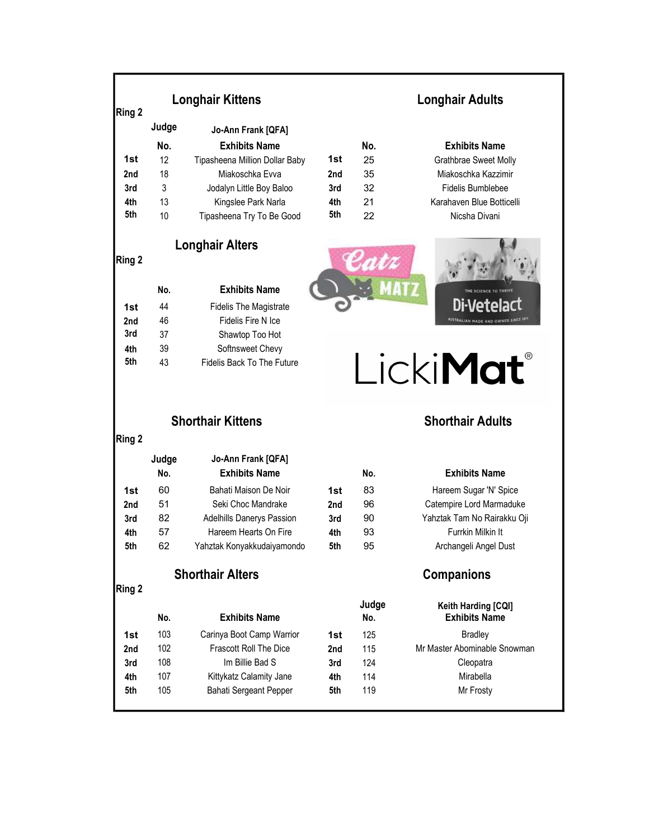| Ring 2     |              | <b>Longhair Kittens</b>                                    | <b>Longhair Adults</b> |              |                                             |
|------------|--------------|------------------------------------------------------------|------------------------|--------------|---------------------------------------------|
|            | Judge        | Jo-Ann Frank [QFA]                                         |                        |              |                                             |
|            | No.          | <b>Exhibits Name</b>                                       |                        | No.          | <b>Exhibits Name</b>                        |
| 1st        | 12           | Tipasheena Million Dollar Baby                             | 1st                    | 25           | Grathbrae Sweet Molly                       |
| 2nd        | 18           | Miakoschka Evva                                            | 2nd                    | 35           | Miakoschka Kazzimir                         |
| 3rd        | 3            | Jodalyn Little Boy Baloo                                   | 3rd                    | 32           | Fidelis Bumblebee                           |
| 4th        | 13           | Kingslee Park Narla                                        | 4th                    | 21           | Karahaven Blue Botticelli                   |
| 5th        | 10           | Tipasheena Try To Be Good                                  | 5th                    | 22           | Nicsha Divani                               |
|            |              | <b>Longhair Alters</b>                                     |                        |              |                                             |
| Ring 2     |              |                                                            |                        |              |                                             |
|            | No.          | <b>Exhibits Name</b>                                       |                        |              |                                             |
| 1st        | 44           | <b>Fidelis The Magistrate</b>                              |                        |              |                                             |
| 2nd        | 46           | Fidelis Fire N Ice                                         |                        |              | AUSTRALIAN MADE AND OWNED SINCE 1974        |
| 3rd        | 37           | Shawtop Too Hot                                            |                        |              |                                             |
| 4th        | 39           | Softnsweet Chevy                                           |                        |              |                                             |
|            |              |                                                            |                        |              |                                             |
| 5th        | 43           | Fidelis Back To The Future                                 |                        |              | LickiMat®                                   |
|            |              | <b>Shorthair Kittens</b>                                   |                        |              | <b>Shorthair Adults</b>                     |
|            |              |                                                            |                        |              |                                             |
|            |              |                                                            |                        |              |                                             |
|            | Judge<br>No. | Jo-Ann Frank [QFA]<br><b>Exhibits Name</b>                 |                        | No.          | <b>Exhibits Name</b>                        |
|            |              |                                                            |                        |              |                                             |
| 1st        | 60           | Bahati Maison De Noir                                      | 1st                    | 83           | Hareem Sugar 'N' Spice                      |
| 2nd        | 51           | Seki Choc Mandrake                                         | 2nd                    | 96           | Catempire Lord Marmaduke                    |
| 3rd        | 82<br>57     | Adelhills Danerys Passion<br>Hareem Hearts On Fire         | 3rd                    | 90           | Yahztak Tam No Rairakku Oji                 |
| 4th<br>5th | 62           | Yahztak Konyakkudaiyamondo                                 | 4th<br>5th             | 93<br>95     | Furrkin Milkin It<br>Archangeli Angel Dust  |
| Ring 2     |              | <b>Shorthair Alters</b>                                    |                        |              | <b>Companions</b>                           |
| Ring 2     |              |                                                            |                        |              |                                             |
|            | No.          | <b>Exhibits Name</b>                                       |                        | Judge<br>No. | Keith Harding [CQI]<br><b>Exhibits Name</b> |
| 1st        | 103          |                                                            | 1st                    |              |                                             |
| 2nd        | 102          | Carinya Boot Camp Warrior<br><b>Frascott Roll The Dice</b> | 2nd                    | 125          | <b>Bradley</b>                              |
| 3rd        | 108          | Im Billie Bad S                                            | 3rd                    | 115<br>124   | Cleopatra                                   |
| 4th        | 107          | Kittykatz Calamity Jane                                    | 4th                    | 114          | Mr Master Abominable Snowman<br>Mirabella   |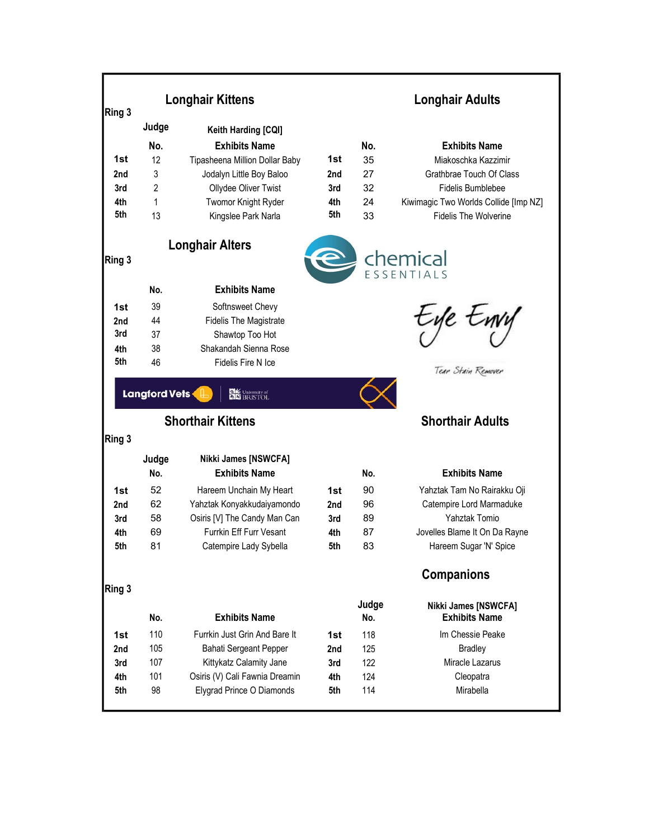| Ring 3 |                      | <b>Longhair Kittens</b>                              | <b>Longhair Adults</b> |       |                                       |
|--------|----------------------|------------------------------------------------------|------------------------|-------|---------------------------------------|
|        | Judge                | Keith Harding [CQI]                                  |                        |       |                                       |
|        | No.                  | <b>Exhibits Name</b>                                 |                        | No.   | <b>Exhibits Name</b>                  |
| 1st    | 12                   | Tipasheena Million Dollar Baby                       | 1st                    | 35    | Miakoschka Kazzimir                   |
| 2nd    | 3                    | Jodalyn Little Boy Baloo                             | 2nd                    | 27    | Grathbrae Touch Of Class              |
| 3rd    | 2                    | Ollydee Oliver Twist                                 | 3rd                    | 32    | <b>Fidelis Bumblebee</b>              |
| 4th    | 1                    | Twomor Knight Ryder                                  | 4th                    | 24    | Kiwimagic Two Worlds Collide [Imp NZ] |
| 5th    | 13                   | Kingslee Park Narla                                  | 5th                    | 33    | <b>Fidelis The Wolverine</b>          |
| Ring 3 |                      | <b>Longhair Alters</b>                               |                        |       | <b>Chemical</b>                       |
|        | No.                  | <b>Exhibits Name</b>                                 |                        |       |                                       |
| 1st    | 39                   | Softnsweet Chevy                                     |                        |       |                                       |
| 2nd    | 44                   | <b>Fidelis The Magistrate</b>                        |                        |       | -ye twy                               |
| 3rd    | 37                   | Shawtop Too Hot                                      |                        |       |                                       |
| 4th    | 38                   | Shakandah Sienna Rose                                |                        |       |                                       |
| 5th    | 46                   | Fidelis Fire N Ice                                   |                        |       | Tear Stain Remover                    |
|        | <b>Langford Vets</b> | <b>Die University of</b><br><b>Shorthair Kittens</b> |                        |       | <b>Shorthair Adults</b>               |
| Ring 3 |                      |                                                      |                        |       |                                       |
|        | Judge<br>No.         | Nikki James [NSWCFA]<br><b>Exhibits Name</b>         |                        | No.   | <b>Exhibits Name</b>                  |
| 1st    | 52                   | Hareem Unchain My Heart                              | 1st                    | 90    | Yahztak Tam No Rairakku Oji           |
| 2nd    | 62                   | Yahztak Konyakkudaiyamondo                           | 2nd                    | 96    | Catempire Lord Marmaduke              |
| 3rd    | 58                   | Osiris [V] The Candy Man Can                         | 3rd                    | 89    | Yahztak Tomio                         |
| 4th    | 69                   | <b>Furrkin Fff Furr Vesant</b>                       | 4th                    | 87    | Jovelles Blame It On Da Rayne         |
| 5th    | 81                   | Catempire Lady Sybella                               | 5th                    | 83    | Hareem Sugar 'N' Spice                |
| Ring 3 |                      |                                                      |                        |       | <b>Companions</b>                     |
|        |                      |                                                      |                        | Judge | Nikki James [NSWCFA]                  |
|        | No.                  | <b>Exhibits Name</b>                                 |                        | No.   | <b>Exhibits Name</b>                  |
| 1st    | 110                  | Furrkin Just Grin And Bare It                        | 1st                    | 118   | Im Chessie Peake                      |
| 2nd    | 105                  | <b>Bahati Sergeant Pepper</b>                        | 2nd                    | 125   | <b>Bradley</b>                        |
| 3rd    | 107                  | Kittykatz Calamity Jane                              | 3rd                    | 122   | Miracle Lazarus                       |
| 4th    | 101                  | Osiris (V) Cali Fawnia Dreamin                       | 4th                    | 124   | Cleopatra                             |
| 5th    | 98                   | Elygrad Prince O Diamonds                            | 5th                    | 114   | Mirabella                             |
|        |                      |                                                      |                        |       |                                       |